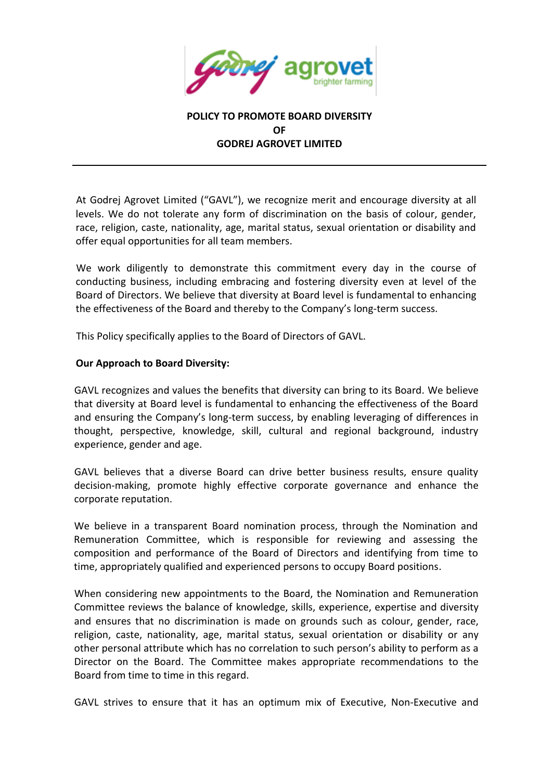

## **POLICY TO PROMOTE BOARD DIVERSITY OF GODREJ AGROVET LIMITED**

At Godrej Agrovet Limited ("GAVL"), we recognize merit and encourage diversity at all levels. We do not tolerate any form of discrimination on the basis of colour, gender, race, religion, caste, nationality, age, marital status, sexual orientation or disability and offer equal opportunities for all team members.

We work diligently to demonstrate this commitment every day in the course of conducting business, including embracing and fostering diversity even at level of the Board of Directors. We believe that diversity at Board level is fundamental to enhancing the effectiveness of the Board and thereby to the Company's long-term success.

This Policy specifically applies to the Board of Directors of GAVL.

## **Our Approach to Board Diversity:**

GAVL recognizes and values the benefits that diversity can bring to its Board. We believe that diversity at Board level is fundamental to enhancing the effectiveness of the Board and ensuring the Company's long-term success, by enabling leveraging of differences in thought, perspective, knowledge, skill, cultural and regional background, industry experience, gender and age.

GAVL believes that a diverse Board can drive better business results, ensure quality decision-making, promote highly effective corporate governance and enhance the corporate reputation.

We believe in a transparent Board nomination process, through the Nomination and Remuneration Committee, which is responsible for reviewing and assessing the composition and performance of the Board of Directors and identifying from time to time, appropriately qualified and experienced persons to occupy Board positions.

When considering new appointments to the Board, the Nomination and Remuneration Committee reviews the balance of knowledge, skills, experience, expertise and diversity and ensures that no discrimination is made on grounds such as colour, gender, race, religion, caste, nationality, age, marital status, sexual orientation or disability or any other personal attribute which has no correlation to such person's ability to perform as a Director on the Board. The Committee makes appropriate recommendations to the Board from time to time in this regard.

GAVL strives to ensure that it has an optimum mix of Executive, Non-Executive and